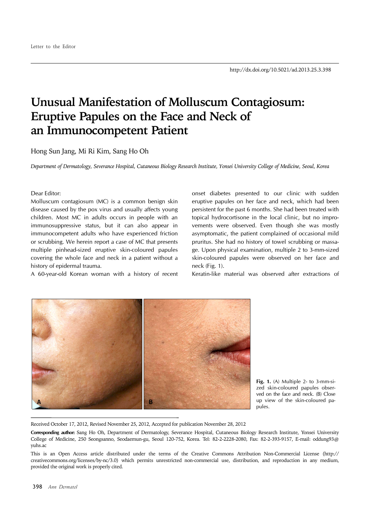## **Unusual Manifestation of Molluscum Contagiosum: Eruptive Papules on the Face and Neck of an Immunocompetent Patient**

Hong Sun Jang, Mi Ri Kim, Sang Ho Oh

*Department of Dermatology, Severance Hospital, Cutaneous Biology Research Institute, Yonsei University College of Medicine, Seoul, Korea*

## Dear Editor:

Molluscum contagiosum (MC) is a common benign skin disease caused by the pox virus and usually affects young children. Most MC in adults occurs in people with an immunosuppressive status, but it can also appear in immunocompetent adults who have experienced friction or scrubbing. We herein report a case of MC that presents multiple pinhead-sized eruptive skin-coloured papules covering the whole face and neck in a patient without a history of epidermal trauma.

A 60-year-old Korean woman with a history of recent

onset diabetes presented to our clinic with sudden eruptive papules on her face and neck, which had been persistent for the past 6 months. She had been treated with topical hydrocortisone in the local clinic, but no improvements were observed. Even though she was mostly asymptomatic, the patient complained of occasional mild pruritus. She had no history of towel scrubbing or massage. Upon physical examination, multiple 2 to 3-mm-sized skin-coloured papules were observed on her face and neck (Fig. 1).

Keratin-like material was observed after extractions of



**Fig. 1.** (A) Multiple 2- to 3-mm-sized skin-coloured papules observed on the face and neck. (B) Close up view of the skin-coloured papules.

Received October 17, 2012, Revised November 25, 2012, Accepted for publication November 28, 2012

**Corresponding author:** Sang Ho Oh, Department of Dermatology, Severance Hospital, Cutaneous Biology Research Institute, Yonsei University College of Medicine, 250 Seongsanno, Seodaemun-gu, Seoul 120-752, Korea. Tel: 82-2-2228-2080, Fax: 82-2-393-9157, E-mail: oddung93@ yuhs.ac

This is an Open Access article distributed under the terms of the Creative Commons Attribution Non-Commercial License (http:// creativecommons.org/licenses/by-nc/3.0) which permits unrestricted non-commercial use, distribution, and reproduction in any medium, provided the original work is properly cited.